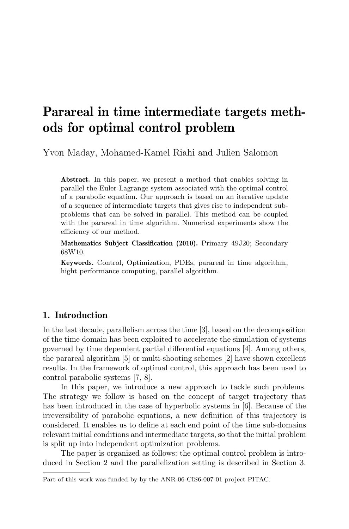# Parareal in time intermediate targets methods for optimal control problem

Yvon Maday, Mohamed-Kamel Riahi and Julien Salomon

Abstract. In this paper, we present a method that enables solving in parallel the Euler-Lagrange system associated with the optimal control of a parabolic equation. Our approach is based on an iterative update of a sequence of intermediate targets that gives rise to independent subproblems that can be solved in parallel. This method can be coupled with the parareal in time algorithm. Numerical experiments show the efficiency of our method.

Mathematics Subject Classification (2010). Primary 49J20; Secondary 68W10.

Keywords. Control, Optimization, PDEs, parareal in time algorithm, hight performance computing, parallel algorithm.

# 1. Introduction

In the last decade, parallelism across the time [3], based on the decomposition of the time domain has been exploited to accelerate the simulation of systems governed by time dependent partial differential equations [4]. Among others, the parareal algorithm [5] or multi-shooting schemes [2] have shown excellent results. In the framework of optimal control, this approach has been used to control parabolic systems [7, 8].

In this paper, we introduce a new approach to tackle such problems. The strategy we follow is based on the concept of target trajectory that has been introduced in the case of hyperbolic systems in [6]. Because of the irreversibility of parabolic equations, a new definition of this trajectory is considered. It enables us to define at each end point of the time sub-domains relevant initial conditions and intermediate targets, so that the initial problem is split up into independent optimization problems.

The paper is organized as follows: the optimal control problem is introduced in Section 2 and the parallelization setting is described in Section 3.

Part of this work was funded by by the ANR-06-CIS6-007-01 project PITAC.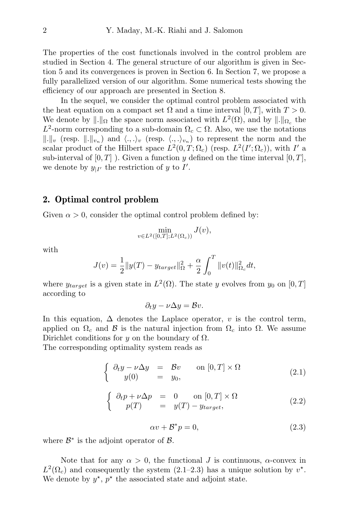The properties of the cost functionals involved in the control problem are studied in Section 4. The general structure of our algorithm is given in Section 5 and its convergences is proven in Section 6. In Section 7, we propose a fully parallelized version of our algorithm. Some numerical tests showing the efficiency of our approach are presented in Section 8.

In the sequel, we consider the optimal control problem associated with the heat equation on a compact set  $\Omega$  and a time interval  $[0, T]$ , with  $T > 0$ . We denote by  $\|\cdot\|_{\Omega}$  the space norm associated with  $L^2(\Omega)$ , and by  $\|\cdot\|_{\Omega_c}$  the  $L^2$ -norm corresponding to a sub-domain  $\Omega_c \subset \Omega$ . Also, we use the notations  $\|.\|_v$  (resp.  $\|.\|_{v_n}$ ) and  $\langle .,.\rangle_v$  (resp.  $\langle .,.\rangle_{v_n}$ ) to represent the norm and the scalar product of the Hilbert space  $L^2(0,T;\Omega_c)$  (resp.  $L^2(I';\Omega_c)$ ), with I' a sub-interval of  $[0, T]$ ). Given a function y defined on the time interval  $[0, T]$ , we denote by  $y_{|I'}$  the restriction of y to I'.

## 2. Optimal control problem

Given  $\alpha > 0$ , consider the optimal control problem defined by:

$$
\min_{v \in L^2([0,T];L^2(\Omega_c))} J(v),
$$

with

$$
J(v) = \frac{1}{2} ||y(T) - y_{target}||_{\Omega}^{2} + \frac{\alpha}{2} \int_{0}^{T} ||v(t)||_{\Omega_{c}}^{2} dt,
$$

where  $y_{target}$  is a given state in  $L^2(\Omega)$ . The state y evolves from  $y_0$  on  $[0, T]$ according to

$$
\partial_t y - \nu \Delta y = \mathcal{B} v.
$$

In this equation,  $\Delta$  denotes the Laplace operator, v is the control term, applied on  $\Omega_c$  and B is the natural injection from  $\Omega_c$  into  $\Omega$ . We assume Dirichlet conditions for y on the boundary of  $\Omega$ .

The corresponding optimality system reads as

$$
\begin{cases}\n\partial_t y - \nu \Delta y = Bv \quad \text{on } [0, T] \times \Omega \\
y(0) = y_0,\n\end{cases} \tag{2.1}
$$

$$
\begin{cases}\n\partial_t p + \nu \Delta p = 0 \quad \text{on } [0, T] \times \Omega \\
p(T) = y(T) - y_{target},\n\end{cases} \tag{2.2}
$$

$$
\alpha v + \mathcal{B}^* p = 0,\tag{2.3}
$$

where  $\mathcal{B}^*$  is the adjoint operator of  $\mathcal{B}$ .

Note that for any  $\alpha > 0$ , the functional J is continuous,  $\alpha$ -convex in  $L^2(\Omega_c)$  and consequently the system  $(2.1-2.3)$  has a unique solution by  $v^*$ . We denote by  $y^*$ ,  $p^*$  the associated state and adjoint state.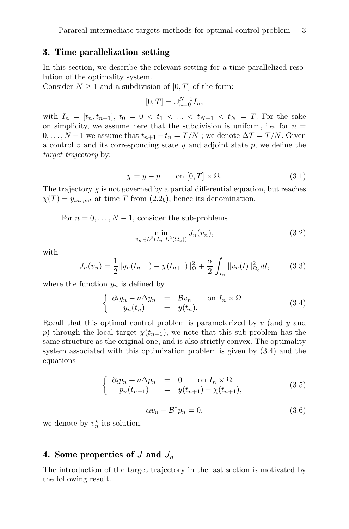## 3. Time parallelization setting

In this section, we describe the relevant setting for a time parallelized resolution of the optimality system.

Consider  $N > 1$  and a subdivision of  $[0, T]$  of the form:

$$
[0,T] = \cup_{n=0}^{N-1} I_n,
$$

with  $I_n = [t_n, t_{n+1}], t_0 = 0 < t_1 < ... < t_{N-1} < t_N = T$ . For the sake on simplicity, we assume here that the subdivision is uniform, i.e. for  $n =$  $0, \ldots, N-1$  we assume that  $t_{n+1} - t_n = T/N$ ; we denote  $\Delta T = T/N$ . Given a control  $v$  and its corresponding state  $y$  and adjoint state  $p$ , we define the target trajectory by:

$$
\chi = y - p \qquad \text{on } [0, T] \times \Omega. \tag{3.1}
$$

The trajectory  $\chi$  is not governed by a partial differential equation, but reaches  $\chi(T) = y_{target}$  at time T from  $(2.2<sub>b</sub>)$ , hence its denomination.

For  $n = 0, \ldots, N - 1$ , consider the sub-problems

$$
\min_{v_n \in L^2(I_n; L^2(\Omega_c))} J_n(v_n),\tag{3.2}
$$

with

$$
J_n(v_n) = \frac{1}{2} ||y_n(t_{n+1}) - \chi(t_{n+1})||_{\Omega}^2 + \frac{\alpha}{2} \int_{I_n} ||v_n(t)||_{\Omega_c}^2 dt,
$$
 (3.3)

where the function  $y_n$  is defined by

$$
\begin{cases}\n\partial_t y_n - \nu \Delta y_n &= \mathcal{B} v_n \quad \text{on } I_n \times \Omega \\
y_n(t_n) &= y(t_n).\n\end{cases} \tag{3.4}
$$

Recall that this optimal control problem is parameterized by  $v$  (and  $y$  and p) through the local target  $\chi(t_{n+1})$ , we note that this sub-problem has the same structure as the original one, and is also strictly convex. The optimality system associated with this optimization problem is given by (3.4) and the equations

$$
\begin{cases}\n\partial_t p_n + \nu \Delta p_n = 0 \quad \text{on } I_n \times \Omega \\
p_n(t_{n+1}) = y(t_{n+1}) - \chi(t_{n+1}),\n\end{cases} \tag{3.5}
$$

$$
\alpha v_n + \mathcal{B}^* p_n = 0,\tag{3.6}
$$

we denote by  $v_n^*$  its solution.

## 4. Some properties of J and  $J_n$

The introduction of the target trajectory in the last section is motivated by the following result.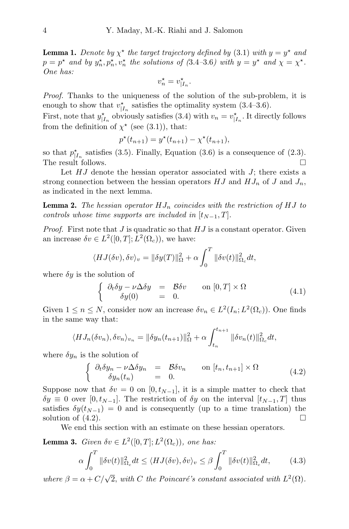**Lemma 1.** Denote by  $\chi^*$  the target trajectory defined by (3.1) with  $y = y^*$  and  $p = p^*$  and by  $y_n^*, p_n^*, v_n^*$  the solutions of (3.4-3.6) with  $y = y^*$  and  $\chi = \chi^*$ . One has:

$$
v_n^* = v_{|I_n}^*.
$$

*Proof.* Thanks to the uniqueness of the solution of the sub-problem, it is enough to show that  $v_{|I_n}^*$  satisfies the optimality system (3.4–3.6).

First, note that  $y_{|I_n}^{\star}$  obviously satisfies (3.4) with  $v_n = v_{|I_n}^{\star}$ . It directly follows from the definition of  $\chi^*$  (see (3.1)), that:

$$
p^*(t_{n+1}) = y^*(t_{n+1}) - \chi^*(t_{n+1}),
$$

so that  $p_{|I_n}^*$  satisfies (3.5). Finally, Equation (3.6) is a consequence of (2.3). The result follows.

Let  $HJ$  denote the hessian operator associated with  $J$ ; there exists a strong connection between the hessian operators  $HJ$  and  $HJ_n$  of J and  $J_n$ , as indicated in the next lemma.

**Lemma 2.** The hessian operator  $HJ_n$  coincides with the restriction of HJ to controls whose time supports are included in  $[t_{N-1}, T]$ .

*Proof.* First note that  $J$  is quadratic so that  $HJ$  is a constant operator. Given an increase  $\delta v \in L^2([0,T];L^2(\Omega_c))$ , we have:

$$
\langle HJ(\delta v), \delta v \rangle_v = \|\delta y(T)\|_{\Omega}^2 + \alpha \int_0^T \|\delta v(t)\|_{\Omega_c}^2 dt,
$$

where  $\delta y$  is the solution of

$$
\begin{cases}\n\partial_t \delta y - \nu \Delta \delta y = \mathcal{B} \delta v & \text{on } [0, T] \times \Omega \\
\delta y(0) = 0.\n\end{cases} \tag{4.1}
$$

Given  $1 \le n \le N$ , consider now an increase  $\delta v_n \in L^2(I_n; L^2(\Omega_c))$ . One finds in the same way that:

$$
\langle HJ_n(\delta v_n), \delta v_n \rangle_{v_n} = \|\delta y_n(t_{n+1})\|_{\Omega}^2 + \alpha \int_{t_n}^{t_{n+1}} \|\delta v_n(t)\|_{\Omega_c}^2 dt,
$$

where  $\delta y_n$  is the solution of

$$
\begin{cases}\n\partial_t \delta y_n - \nu \Delta \delta y_n = \mathcal{B} \delta v_n \quad \text{on } [t_n, t_{n+1}] \times \Omega \\
\delta y_n(t_n) = 0.\n\end{cases} \tag{4.2}
$$

Suppose now that  $\delta v = 0$  on  $[0, t_{N-1}]$ , it is a simple matter to check that  $\delta y \equiv 0$  over  $[0, t_{N-1}]$ . The restriction of  $\delta y$  on the interval  $[t_{N-1}, T]$  thus satisfies  $\delta y(t_{N-1}) = 0$  and is consequently (up to a time translation) the solution of  $(4.2)$ .

We end this section with an estimate on these hessian operators.

**Lemma 3.** Given  $\delta v \in L^2([0,T];L^2(\Omega_c))$ , one has:

$$
\alpha \int_0^T \|\delta v(t)\|_{\Omega_c}^2 dt \le \langle HJ(\delta v), \delta v \rangle_v \le \beta \int_0^T \|\delta v(t)\|_{\Omega_c}^2 dt, \tag{4.3}
$$

where  $\beta = \alpha + C/\sqrt{2}$ , with C the Poincaré's constant associated with  $L^2(\Omega)$ .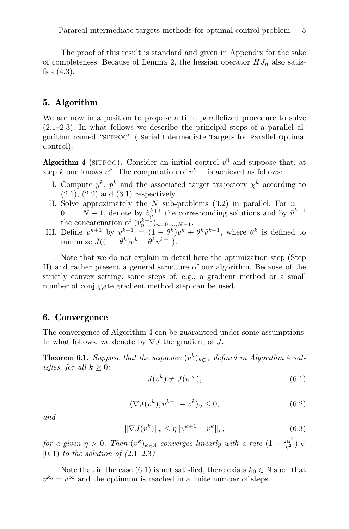The proof of this result is standard and given in Appendix for the sake of completeness. Because of Lemma 2, the hessian operator  $HJ_n$  also satisfies  $(4.3)$ .

# 5. Algorithm

We are now in a position to propose a time parallelized procedure to solve (2.1–2.3). In what follows we describe the principal steps of a parallel algorithm named "sitpoc" ( serial intermediate targets for parallel optimal control).

Algorithm 4 (SITPOC). Consider an initial control  $v^0$  and suppose that, at step k one knows  $v^k$ . The computation of  $v^{k+1}$  is achieved as follows:

- I. Compute  $y^k$ ,  $p^k$  and the associated target trajectory  $\chi^k$  according to  $(2.1)$ ,  $(2.2)$  and  $(3.1)$  respectively.
- II. Solve approximately the N sub-problems  $(3.2)$  in parallel. For  $n =$  $0, \ldots, N-1$ , denote by  $\tilde{v}_n^{k+1}$  the corresponding solutions and by  $\tilde{v}^{k+1}$ the concatenation of  $(\tilde{v}_n^{k+1})_{n=0,\ldots,N-1}$ .
- III. Define  $v^{k+1}$  by  $v^{k+1} = (1 \theta^k)v^k + \theta^k \tilde{v}^{k+1}$ , where  $\theta^k$  is defined to minimize  $J((1 - \theta^k)v^k + \theta^k \tilde{v}^{k+1}).$

Note that we do not explain in detail here the optimization step (Step II) and rather present a general structure of our algorithm. Because of the strictly convex setting, some steps of, e.g., a gradient method or a small number of conjugate gradient method step can be used.

## 6. Convergence

The convergence of Algorithm 4 can be guaranteed under some assumptions. In what follows, we denote by  $\nabla J$  the gradient of J.

**Theorem 6.1.** Suppose that the sequence  $(v^k)_{k \in \mathbb{N}}$  defined in Algorithm 4 satisfies, for all  $k \geq 0$ :

$$
J(v^k) \neq J(v^\infty),\tag{6.1}
$$

$$
\langle \nabla J(v^k), v^{k+1} - v^k \rangle_v \le 0,
$$
\n(6.2)

and

$$
\|\nabla J(v^k)\|_v \le \eta \|v^{k+1} - v^k\|_v,\tag{6.3}
$$

for a given  $\eta > 0$ . Then  $(v^k)_{k \in \mathbb{N}}$  converges linearly with a rate  $(1 - \frac{2\alpha^2}{\eta^2}) \in$  $[0, 1)$  to the solution of  $(2.1-2.3)$ 

Note that in the case (6.1) is not satisfied, there exists  $k_0 \in \mathbb{N}$  such that  $v^{k_0} = v^{\infty}$  and the optimum is reached in a finite number of steps.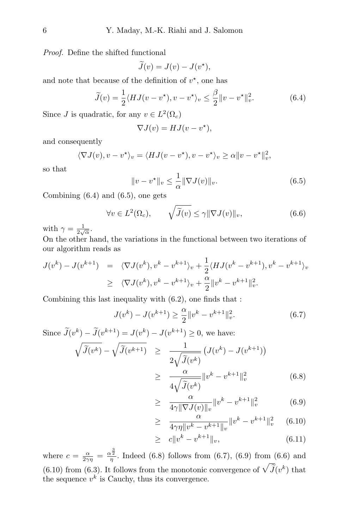Proof. Define the shifted functional

$$
\widetilde{J}(v) = J(v) - J(v^*),
$$

and note that because of the definition of  $v^*$ , one has

$$
\widetilde{J}(v) = \frac{1}{2} \langle HJ(v - v^{\star}), v - v^{\star} \rangle_v \le \frac{\beta}{2} ||v - v^{\star}||_v^2.
$$
\n(6.4)

Since *J* is quadratic, for any  $v \in L^2(\Omega_c)$ 

$$
\nabla J(v) = HJ(v - v^*),
$$

and consequently

$$
\langle \nabla J(v), v - v^{\star} \rangle_v = \langle HJ(v - v^{\star}), v - v^{\star} \rangle_v \ge \alpha ||v - v^{\star}||_v^2,
$$

so that

$$
||v - v^*||_v \le \frac{1}{\alpha} ||\nabla J(v)||_v.
$$
 (6.5)

Combining  $(6.4)$  and  $(6.5)$ , one gets

$$
\forall v \in L^{2}(\Omega_{c}), \qquad \sqrt{\widetilde{J}(v)} \leq \gamma \|\nabla J(v)\|_{v}, \tag{6.6}
$$

with  $\gamma = \frac{1}{2\sqrt{\alpha}}$ .

On the other hand, the variations in the functional between two iterations of our algorithm reads as

$$
J(v^{k}) - J(v^{k+1}) = \langle \nabla J(v^{k}), v^{k} - v^{k+1} \rangle_{v} + \frac{1}{2} \langle HJ(v^{k} - v^{k+1}), v^{k} - v^{k+1} \rangle_{v}
$$
  
\n
$$
\geq \langle \nabla J(v^{k}), v^{k} - v^{k+1} \rangle_{v} + \frac{\alpha}{2} ||v^{k} - v^{k+1}||_{v}^{2}.
$$

Combining this last inequality with (6.2), one finds that :

$$
J(v^k) - J(v^{k+1}) \ge \frac{\alpha}{2} \|v^k - v^{k+1}\|_v^2.
$$
 (6.7)

Since  $\tilde{J}(v^k) - \tilde{J}(v^{k+1}) = J(v^k) - J(v^{k+1}) \ge 0$ , we have:

$$
\sqrt{\widetilde{J}(v^k)} - \sqrt{\widetilde{J}(v^{k+1})} \geq \frac{1}{2\sqrt{\widetilde{J}(v^k)}} \left( J(v^k) - J(v^{k+1}) \right)
$$

$$
\geq \frac{\alpha}{4\sqrt{\widetilde{J}(v^k)}} \|v^k - v^{k+1}\|_v^2 \tag{6.8}
$$

$$
\geq \frac{\alpha}{4\gamma \|\nabla J(v)\|_{v}} \|v^{k} - v^{k+1}\|_{v}^{2} \tag{6.9}
$$

$$
\geq \frac{\alpha}{4\gamma\eta\|v^k - v^{k+1}\|v\|v^k - v^{k+1}\|v\|v} \quad (6.10)
$$

$$
\geq c \|v^k - v^{k+1}\|_v,\tag{6.11}
$$

where  $c = \frac{\alpha}{2\gamma\eta} = \frac{\alpha^{\frac{3}{2}}}{\eta}$ . Indeed (6.8) follows from (6.7), (6.9) from (6.6) and (6.10) from (6.3). It follows from the monotonic convergence of  $\sqrt{\tilde{J}}(v^k)$  that the sequence  $v^k$  is Cauchy, thus its convergence.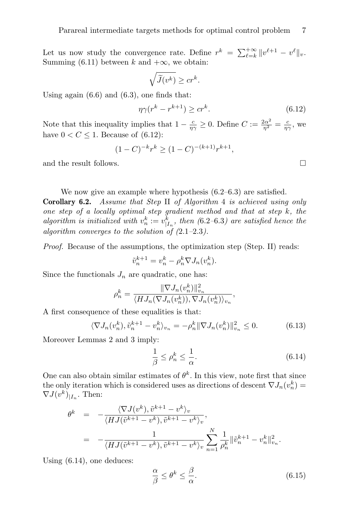Let us now study the convergence rate. Define  $r^k = \sum_{\ell=k}^{+\infty} ||v^{\ell+1} - v^{\ell}||_v$ . Summing (6.11) between k and  $+\infty$ , we obtain:

$$
\sqrt{\widetilde{J}(v^k)} \geq cr^k.
$$

Using again  $(6.6)$  and  $(6.3)$ , one finds that:

$$
\eta \gamma (r^k - r^{k+1}) \ge cr^k. \tag{6.12}
$$

Note that this inequality implies that  $1 - \frac{c}{\eta \gamma} \ge 0$ . Define  $C := \frac{2\alpha^2}{\eta^2} = \frac{c}{\eta \gamma}$ , we have  $0 < C \leq 1$ . Because of (6.12):

$$
(1 - C)^{-k} r^k \ge (1 - C)^{-(k+1)} r^{k+1},
$$

and the result follows.  $\hfill \square$ 

We now give an example where hypothesis  $(6.2–6.3)$  are satisfied. Corollary 6.2. Assume that Step II of Algorithm 4 is achieved using only one step of a locally optimal step gradient method and that at step  $k$ , the algorithm is initialized with  $v_n^k := v_{|I_n}^k$ , then (6.2–6.3) are satisfied hence the algorithm converges to the solution of  $(2.1-2.3)$ .

Proof. Because of the assumptions, the optimization step (Step. II) reads:

$$
\tilde{v}_n^{k+1} = v_n^k - \rho_n^k \nabla J_n(v_n^k).
$$

Since the functionals  $J_n$  are quadratic, one has:

$$
\rho_n^k = \frac{\|\nabla J_n(v_n^k)\|_{v_n}^2}{\langle HJ_n(\nabla J_n(v_n^k)), \nabla J_n(v_n^k)\rangle_{v_n}},
$$

A first consequence of these equalities is that:

$$
\langle \nabla J_n(v_n^k), \tilde{v}_n^{k+1} - v_n^k \rangle_{v_n} = -\rho_n^k \|\nabla J_n(v_n^k)\|_{v_n}^2 \le 0.
$$
 (6.13)

Moreover Lemmas 2 and 3 imply:

$$
\frac{1}{\beta} \le \rho_n^k \le \frac{1}{\alpha}.\tag{6.14}
$$

One can also obtain similar estimates of  $\theta^k$ . In this view, note first that since the only iteration which is considered uses as directions of descent  $\nabla J_n(v_n^k)$  $\nabla J(v^k)|_{I_n}$ . Then:

$$
\theta^{k} = -\frac{\langle \nabla J(v^{k}), \tilde{v}^{k+1} - v^{k} \rangle_{v}}{\langle HJ(\tilde{v}^{k+1} - v^{k}), \tilde{v}^{k+1} - v^{k} \rangle_{v}},
$$
  
= 
$$
-\frac{1}{\langle HJ(\tilde{v}^{k+1} - v^{k}), \tilde{v}^{k+1} - v^{k} \rangle_{v}} \sum_{n=1}^{N} \frac{1}{\rho_{n}^{k}} ||\tilde{v}_{n}^{k+1} - v_{n}^{k}||_{v_{n}}^{2}.
$$

Using (6.14), one deduces:

$$
\frac{\alpha}{\beta} \le \theta^k \le \frac{\beta}{\alpha}.\tag{6.15}
$$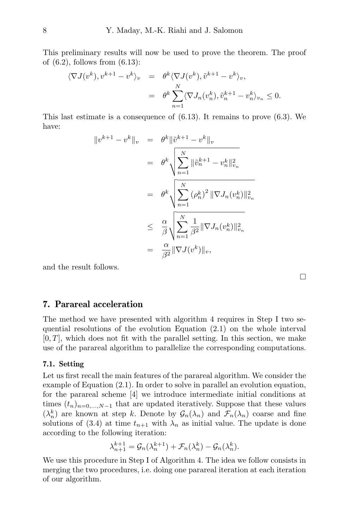This preliminary results will now be used to prove the theorem. The proof of  $(6.2)$ , follows from  $(6.13)$ :

$$
\langle \nabla J(v^k), v^{k+1} - v^k \rangle_v = \theta^k \langle \nabla J(v^k), \tilde{v}^{k+1} - v^k \rangle_v,
$$
  

$$
= \theta^k \sum_{n=1}^N \langle \nabla J_n(v_n^k), \tilde{v}_n^{k+1} - v_n^k \rangle_{v_n} \le 0.
$$

This last estimate is a consequence of  $(6.13)$ . It remains to prove  $(6.3)$ . We have:

$$
||v^{k+1} - v^k||_v = \theta^k ||\tilde{v}^{k+1} - v^k||_v
$$
  

$$
= \theta^k \sqrt{\sum_{n=1}^N ||\tilde{v}_n^{k+1} - v_n^k||_{v_n}^2}
$$
  

$$
= \theta^k \sqrt{\sum_{n=1}^N (\rho_n^k)^2 ||\nabla J_n(v_n^k)||_{v_n}^2}
$$
  

$$
\leq \frac{\alpha}{\beta} \sqrt{\sum_{n=1}^N \frac{1}{\beta^2} ||\nabla J_n(v_n^k)||_{v_n}^2}
$$
  

$$
= \frac{\alpha}{\beta^2} ||\nabla J(v^k)||_v,
$$

and the result follows.

# 7. Parareal acceleration

The method we have presented with algorithm 4 requires in Step I two sequential resolutions of the evolution Equation (2.1) on the whole interval  $[0, T]$ , which does not fit with the parallel setting. In this section, we make use of the parareal algorithm to parallelize the corresponding computations.

#### 7.1. Setting

Let us first recall the main features of the parareal algorithm. We consider the example of Equation (2.1). In order to solve in parallel an evolution equation, for the parareal scheme [4] we introduce intermediate initial conditions at times  $(t_n)_{n=0,\ldots,N-1}$  that are updated iteratively. Suppose that these values  $(\lambda_n^k)$  are known at step k. Denote by  $\mathcal{G}_n(\lambda_n)$  and  $\mathcal{F}_n(\lambda_n)$  coarse and fine solutions of (3.4) at time  $t_{n+1}$  with  $\lambda_n$  as initial value. The update is done according to the following iteration:

$$
\lambda_{n+1}^{k+1} = \mathcal{G}_n(\lambda_n^{k+1}) + \mathcal{F}_n(\lambda_n^k) - \mathcal{G}_n(\lambda_n^k).
$$

We use this procedure in Step I of Algorithm 4. The idea we follow consists in merging the two procedures, i.e. doing one parareal iteration at each iteration of our algorithm.

 $\Box$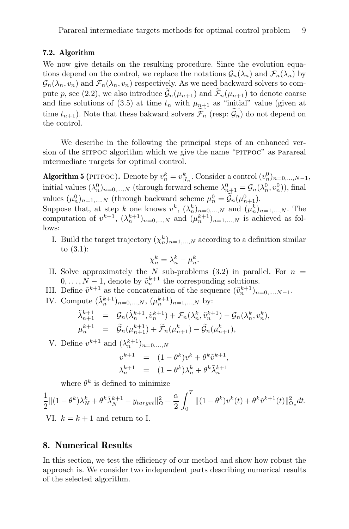#### 7.2. Algorithm

We now give details on the resulting procedure. Since the evolution equations depend on the control, we replace the notations  $\mathcal{G}_n(\lambda_n)$  and  $\mathcal{F}_n(\lambda_n)$  by  $\mathcal{G}_n(\lambda_n, v_n)$  and  $\mathcal{F}_n(\lambda_n, v_n)$  respectively. As we need backward solvers to compute p, see (2.2), we also introduce  $\widetilde{\mathcal{G}}_n(\mu_{n+1})$  and  $\widetilde{\mathcal{F}}_n(\mu_{n+1})$  to denote coarse and fine solutions of (3.5) at time  $t_n$  with  $\mu_{n+1}$  as "initial" value (given at time  $t_{n+1}$ ). Note that these bakward solvers  $\mathcal{F}_n$  (resp:  $\mathcal{G}_n$ ) do not depend on the control.

We describe in the following the principal steps of an enhanced version of the sitpoc algorithm which we give the name "pitpoc" as parareal Intermediate Targets for Optimal Control.

Algorithm 5 (PITPOC). Denote by  $v_n^k = v_{|I_n}^k$ . Consider a control  $(v_n^0)_{n=0,\ldots,N-1}$ , initial values  $(\lambda_n^0)_{n=0,\dots,N}$  (through forward scheme  $\lambda_{n+1}^0 = \mathcal{G}_n(\lambda_n^0, v_n^0)$ ), final values  $(\mu_n^0)_{n=1,\dots,N}$  (through backward scheme  $\mu_n^0 = \mathcal{G}_n(\mu_{n+1}^0)$ ). Suppose that, at step k one knows  $v^k$ ,  $(\lambda_n^k)_{n=0,\dots,N}$  and  $(\mu_n^k)_{n=1,\dots,N}$ . The computation of  $v^{k+1}$ ,  $(\lambda_n^{k+1})_{n=0,\dots,N}$  and  $(\mu_n^{k+1})_{n=1,\dots,N}$  is achieved as follows:

I. Build the target trajectory  $(\chi_n^k)_{n=1,\dots,N}$  according to a definition similar to (3.1):

$$
\chi_n^k = \lambda_n^k - \mu_n^k.
$$

- II. Solve approximately the N sub-problems  $(3.2)$  in parallel. For  $n =$  $0, \ldots, N-1$ , denote by  $\tilde{v}_n^{k+1}$  the corresponding solutions.
- III. Define  $\tilde{v}^{k+1}$  as the concatenation of the sequence  $(\tilde{v}_n^{k+1})_{n=0,\dots,N-1}$ . IV. Compute  $(\tilde{\lambda}_n^{k+1})_{n=0,...,N}, (\mu_n^{k+1})_{n=1,...,N}$  by:

$$
\tilde{\lambda}_{n+1}^{k+1} = \mathcal{G}_n(\tilde{\lambda}_n^{k+1}, \tilde{v}_n^{k+1}) + \mathcal{F}_n(\lambda_n^k, \tilde{v}_n^{k+1}) - \mathcal{G}_n(\lambda_n^k, v_n^k),
$$
  

$$
\mu_n^{k+1} = \tilde{\mathcal{G}}_n(\mu_{n+1}^{k+1}) + \tilde{\mathcal{F}}_n(\mu_{n+1}^k) - \tilde{\mathcal{G}}_n(\mu_{n+1}^k),
$$

V. Define  $v^{k+1}$  and  $(\lambda_n^{k+1})_{n=0,\ldots,N}$ 

$$
\begin{array}{rcl} v^{k+1} & = & (1-\theta^k)v^k + \theta^k\tilde v^{k+1},\\ \lambda_n^{k+1} & = & (1-\theta^k)\lambda_n^k + \theta^k\tilde \lambda_n^{k+1} \end{array}
$$

where  $\theta^k$  is defined to minimize

$$
\frac{1}{2} \|(1-\theta^k)\lambda_N^k + \theta^k \tilde{\lambda}_N^{k+1} - y_{target}\|_{\Omega}^2 + \frac{\alpha}{2} \int_0^T \|(1-\theta^k)v^k(t) + \theta^k \tilde{v}^{k+1}(t)\|_{\Omega_c}^2 dt.
$$
  
 
$$
M - k + 1
$$
 and return to I

VI.  $k = k + 1$  and return to I.

## 8. Numerical Results

In this section, we test the efficiency of our method and show how robust the approach is. We consider two independent parts describing numerical results of the selected algorithm.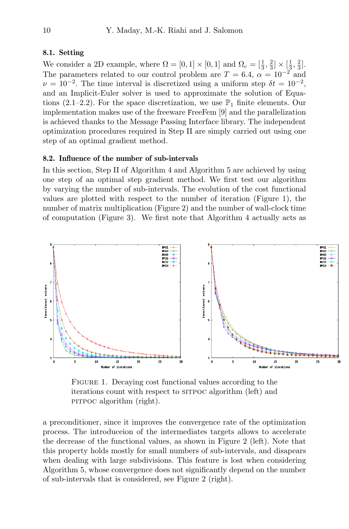#### 8.1. Setting

We consider a 2D example, where  $\Omega = [0,1] \times [0,1]$  and  $\Omega_c = [\frac{1}{3}, \frac{2}{3}] \times [\frac{1}{3}, \frac{2}{3}]$ . The parameters related to our control problem are  $T = 6.4$ ,  $\alpha = 10^{-2}$  and  $\nu = 10^{-2}$ . The time interval is discretized using a uniform step  $\delta t = 10^{-2}$ , and an Implicit-Euler solver is used to approximate the solution of Equations (2.1–2.2). For the space discretization, we use  $\mathbb{P}_1$  finite elements. Our implementation makes use of the freeware FreeFem [9] and the parallelization is achieved thanks to the Message Passing Interface library. The independent optimization procedures required in Step II are simply carried out using one step of an optimal gradient method.

## 8.2. Influence of the number of sub-intervals

In this section, Step II of Algorithm 4 and Algorithm 5 are achieved by using one step of an optimal step gradient method. We first test our algorithm by varying the number of sub-intervals. The evolution of the cost functional values are plotted with respect to the number of iteration (Figure 1), the number of matrix multiplication (Figure 2) and the number of wall-clock time of computation (Figure 3). We first note that Algorithm 4 actually acts as



FIGURE 1. Decaying cost functional values according to the iterations count with respect to sitrational electron (left) and pirpoc algorithm (right).

a preconditioner, since it improves the convergence rate of the optimization process. The introduceion of the intermediates targets allows to accelerate the decrease of the functional values, as shown in Figure 2 (left). Note that this property holds mostly for small numbers of sub-intervals, and disapears when dealing with large subdivisions. This feature is lost when considering Algorithm 5, whose convergence does not significantly depend on the number of sub-intervals that is considered, see Figure 2 (right).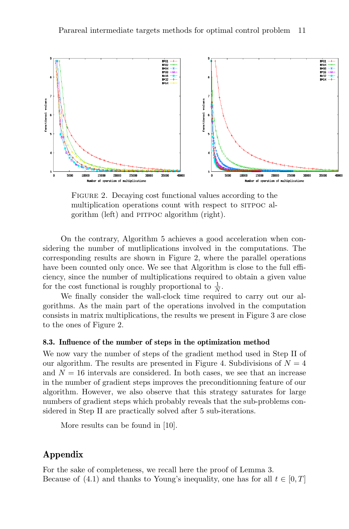

FIGURE 2. Decaying cost functional values according to the multiplication operations count with respect to sitpoc algorithm (left) and pitpoc algorithm (right).

On the contrary, Algorithm 5 achieves a good acceleration when considering the number of mutliplications involved in the computations. The corresponding results are shown in Figure 2, where the parallel operations have been counted only once. We see that Algorithm is close to the full efficiency, since the number of multiplications required to obtain a given value for the cost functional is roughly proportional to  $\frac{1}{N}$ .

We finally consider the wall-clock time required to carry out our algorithms. As the main part of the operations involved in the computation consists in matrix multiplications, the results we present in Figure 3 are close to the ones of Figure 2.

#### 8.3. Influence of the number of steps in the optimization method

We now vary the number of steps of the gradient method used in Step II of our algorithm. The results are presented in Figure 4. Subdivisions of  $N = 4$ and  $N = 16$  intervals are considered. In both cases, we see that an increase in the number of gradient steps improves the preconditionning feature of our algorithm. However, we also observe that this strategy saturates for large numbers of gradient steps which probably reveals that the sub-problems considered in Step II are practically solved after 5 sub-iterations.

More results can be found in [10].

# Appendix

For the sake of completeness, we recall here the proof of Lemma 3. Because of (4.1) and thanks to Young's inequality, one has for all  $t \in [0, T]$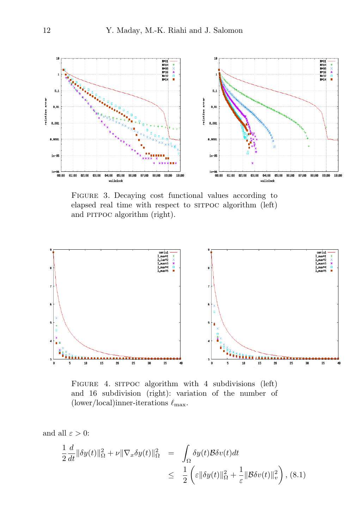

FIGURE 3. Decaying cost functional values according to elapsed real time with respect to situation algorithm (left) and PITPOC algorithm (right).



FIGURE 4. SITPOC algorithm with 4 subdivisions (left) and 16 subdivision (right): variation of the number of (lower/local)inner-iterations  $\ell_{\text{max}}$ .

and all  $\varepsilon > 0$ :

$$
\frac{1}{2}\frac{d}{dt}\|\delta y(t)\|_{\Omega}^{2} + \nu \|\nabla_{x}\delta y(t)\|_{\Omega}^{2} = \int_{\Omega} \delta y(t)\mathcal{B}\delta v(t)dt
$$
\n
$$
\leq \frac{1}{2}\left(\varepsilon \|\delta y(t)\|_{\Omega}^{2} + \frac{1}{\varepsilon} \|\mathcal{B}\delta v(t)\|_{v}^{2}\right), (8.1)
$$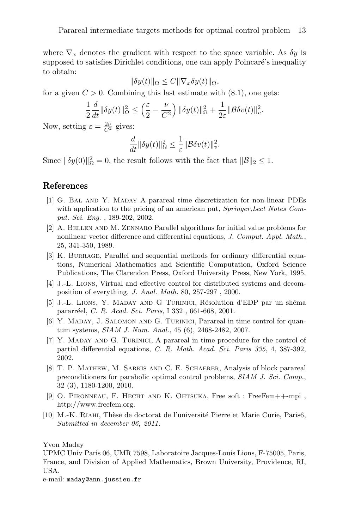where  $\nabla_x$  denotes the gradient with respect to the space variable. As  $\delta y$  is supposed to satisfies Dirichlet conditions, one can apply Poincaré's inequality to obtain:

$$
\|\delta y(t)\|_{\Omega} \le C \|\nabla_x \delta y(t)\|_{\Omega},
$$

for a given  $C > 0$ . Combining this last estimate with  $(8.1)$ , one gets:

$$
\frac{1}{2}\frac{d}{dt}\|\delta y(t)\|_{\Omega}^2 \le \left(\frac{\varepsilon}{2} - \frac{\nu}{C^2}\right) \|\delta y(t)\|_{\Omega}^2 + \frac{1}{2\varepsilon} \|\mathcal{B}\delta v(t)\|_{v}^2.
$$

Now, setting  $\varepsilon = \frac{2\nu}{C^2}$  gives:

$$
\frac{d}{dt} \|\delta y(t)\|_{\Omega}^2 \le \frac{1}{\varepsilon} \|\mathcal{B}\delta v(t)\|_{v}^2.
$$

Since  $\|\delta y(0)\|_{\Omega}^2 = 0$ , the result follows with the fact that  $\|\mathcal{B}\|_2 \leq 1$ .

## References

- [1] G. Bal and Y. Maday A parareal time discretization for non-linear PDEs with application to the pricing of an american put, Springer, Lect Notes Comput. Sci. Eng. , 189-202, 2002.
- [2] A. Bellen and M. Zennaro Parallel algorithms for initial value problems for nonlinear vector difference and differential equations, J. Comput. Appl. Math., 25, 341-350, 1989.
- [3] K. BURRAGE, Parallel and sequential methods for ordinary differential equations, Numerical Mathematics and Scientific Computation, Oxford Science Publications, The Clarendon Press, Oxford University Press, New York, 1995.
- [4] J.-L. Lions, Virtual and effective control for distributed systems and decomposition of everything, J. Anal. Math. 80, 257-297 , 2000.
- [5] J.-L. LIONS, Y. MADAY AND G TURINICI, Résolution d'EDP par un shéma pararréel, C. R. Acad. Sci. Paris, I 332, 661-668, 2001.
- [6] Y. Maday, J. Salomon and G. Turinici, Parareal in time control for quantum systems, SIAM J. Num. Anal., 45 (6), 2468-2482, 2007.
- [7] Y. Maday and G. Turinici, A parareal in time procedure for the control of partial differential equations, C. R. Math. Acad. Sci. Paris 335, 4, 387-392, 2002.
- [8] T. P. Mathew, M. Sarkis and C. E. Schaerer, Analysis of block parareal preconditioners for parabolic optimal control problems, SIAM J. Sci. Comp., 32 (3), 1180-1200, 2010.
- [9] O. Pironneau, F. Hecht and K. Ohtsuka, Free soft : FreeFem++-mpi , http://www.freefem.org.
- [10] M.-K. RIAHI, Thèse de doctorat de l'université Pierre et Marie Curie, Paris6, Submitted in december 06, 2011.

Yvon Maday

UPMC Univ Paris 06, UMR 7598, Laboratoire Jacques-Louis Lions, F-75005, Paris, France, and Division of Applied Mathematics, Brown University, Providence, RI, USA.

e-mail: maday@ann.jussieu.fr